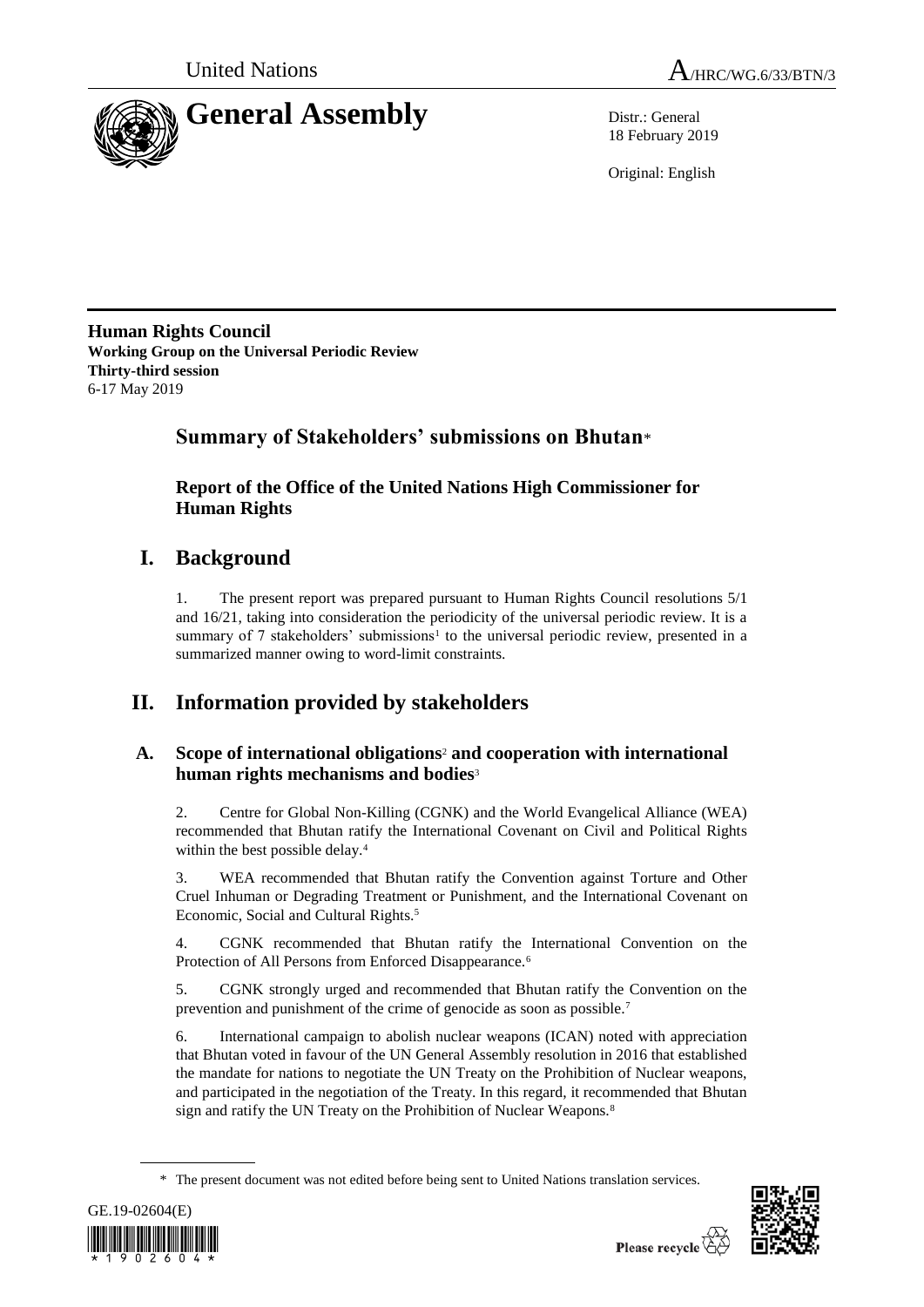



18 February 2019

Original: English

**Human Rights Council Working Group on the Universal Periodic Review Thirty-third session** 6-17 May 2019

## **Summary of Stakeholders' submissions on Bhutan**\*

**Report of the Office of the United Nations High Commissioner for Human Rights**

# **I. Background**

1. The present report was prepared pursuant to Human Rights Council resolutions 5/1 and 16/21, taking into consideration the periodicity of the universal periodic review. It is a summary of 7 stakeholders' submissions<sup>1</sup> to the universal periodic review, presented in a summarized manner owing to word-limit constraints.

# **II. Information provided by stakeholders**

### **A. Scope of international obligations**<sup>2</sup> **and cooperation with international human rights mechanisms and bodies**<sup>3</sup>

2. Centre for Global Non-Killing (CGNK) and the World Evangelical Alliance (WEA) recommended that Bhutan ratify the International Covenant on Civil and Political Rights within the best possible delay.<sup>4</sup>

3. WEA recommended that Bhutan ratify the Convention against Torture and Other Cruel Inhuman or Degrading Treatment or Punishment, and the International Covenant on Economic, Social and Cultural Rights.<sup>5</sup>

4. CGNK recommended that Bhutan ratify the International Convention on the Protection of All Persons from Enforced Disappearance.<sup>6</sup>

5. CGNK strongly urged and recommended that Bhutan ratify the Convention on the prevention and punishment of the crime of genocide as soon as possible.<sup>7</sup>

6. International campaign to abolish nuclear weapons (ICAN) noted with appreciation that Bhutan voted in favour of the UN General Assembly resolution in 2016 that established the mandate for nations to negotiate the UN Treaty on the Prohibition of Nuclear weapons, and participated in the negotiation of the Treaty. In this regard, it recommended that Bhutan sign and ratify the UN Treaty on the Prohibition of Nuclear Weapons.<sup>8</sup>

<sup>\*</sup> The present document was not edited before being sent to United Nations translation services.



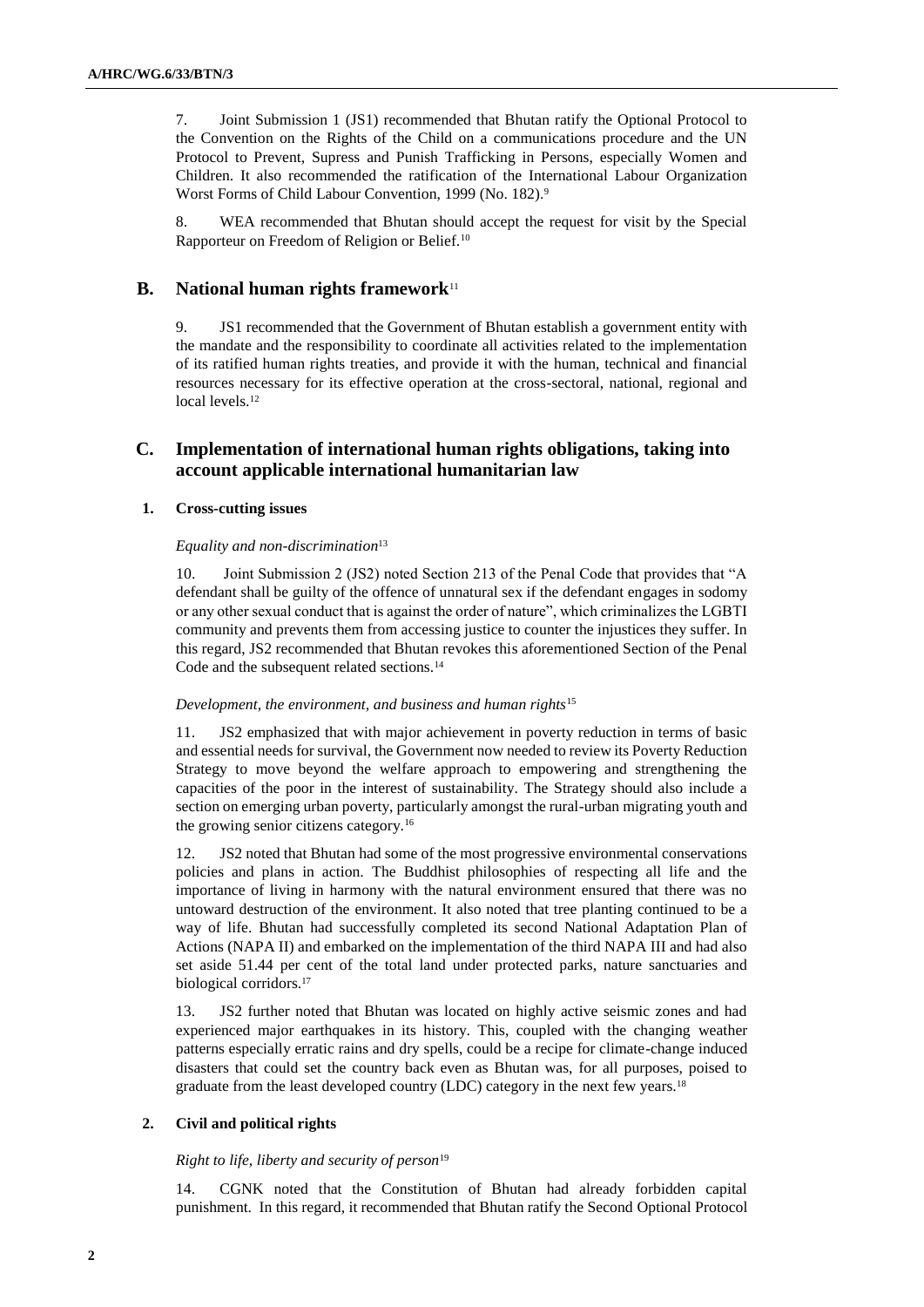7. Joint Submission 1 (JS1) recommended that Bhutan ratify the Optional Protocol to the Convention on the Rights of the Child on a communications procedure and the UN Protocol to Prevent, Supress and Punish Trafficking in Persons, especially Women and Children. It also recommended the ratification of the International Labour Organization Worst Forms of Child Labour Convention, 1999 (No. 182).<sup>9</sup>

8. WEA recommended that Bhutan should accept the request for visit by the Special Rapporteur on Freedom of Religion or Belief.<sup>10</sup>

### **B. National human rights framework**<sup>11</sup>

9. JS1 recommended that the Government of Bhutan establish a government entity with the mandate and the responsibility to coordinate all activities related to the implementation of its ratified human rights treaties, and provide it with the human, technical and financial resources necessary for its effective operation at the cross-sectoral, national, regional and local levels.<sup>12</sup>

### **C. Implementation of international human rights obligations, taking into account applicable international humanitarian law**

#### **1. Cross-cutting issues**

#### *Equality and non-discrimination*<sup>13</sup>

10. Joint Submission 2 (JS2) noted Section 213 of the Penal Code that provides that "A defendant shall be guilty of the offence of unnatural sex if the defendant engages in sodomy or any other sexual conduct that is against the order of nature", which criminalizes the LGBTI community and prevents them from accessing justice to counter the injustices they suffer. In this regard, JS2 recommended that Bhutan revokes this aforementioned Section of the Penal Code and the subsequent related sections.<sup>14</sup>

#### *Development, the environment, and business and human rights*<sup>15</sup>

11. JS2 emphasized that with major achievement in poverty reduction in terms of basic and essential needs for survival, the Government now needed to review its Poverty Reduction Strategy to move beyond the welfare approach to empowering and strengthening the capacities of the poor in the interest of sustainability. The Strategy should also include a section on emerging urban poverty, particularly amongst the rural-urban migrating youth and the growing senior citizens category.<sup>16</sup>

12. JS2 noted that Bhutan had some of the most progressive environmental conservations policies and plans in action. The Buddhist philosophies of respecting all life and the importance of living in harmony with the natural environment ensured that there was no untoward destruction of the environment. It also noted that tree planting continued to be a way of life. Bhutan had successfully completed its second National Adaptation Plan of Actions (NAPA II) and embarked on the implementation of the third NAPA III and had also set aside 51.44 per cent of the total land under protected parks, nature sanctuaries and biological corridors.<sup>17</sup>

13. JS2 further noted that Bhutan was located on highly active seismic zones and had experienced major earthquakes in its history. This, coupled with the changing weather patterns especially erratic rains and dry spells, could be a recipe for climate-change induced disasters that could set the country back even as Bhutan was, for all purposes, poised to graduate from the least developed country (LDC) category in the next few years.<sup>18</sup>

#### **2. Civil and political rights**

#### *Right to life, liberty and security of person*<sup>19</sup>

14. CGNK noted that the Constitution of Bhutan had already forbidden capital punishment. In this regard, it recommended that Bhutan ratify the Second Optional Protocol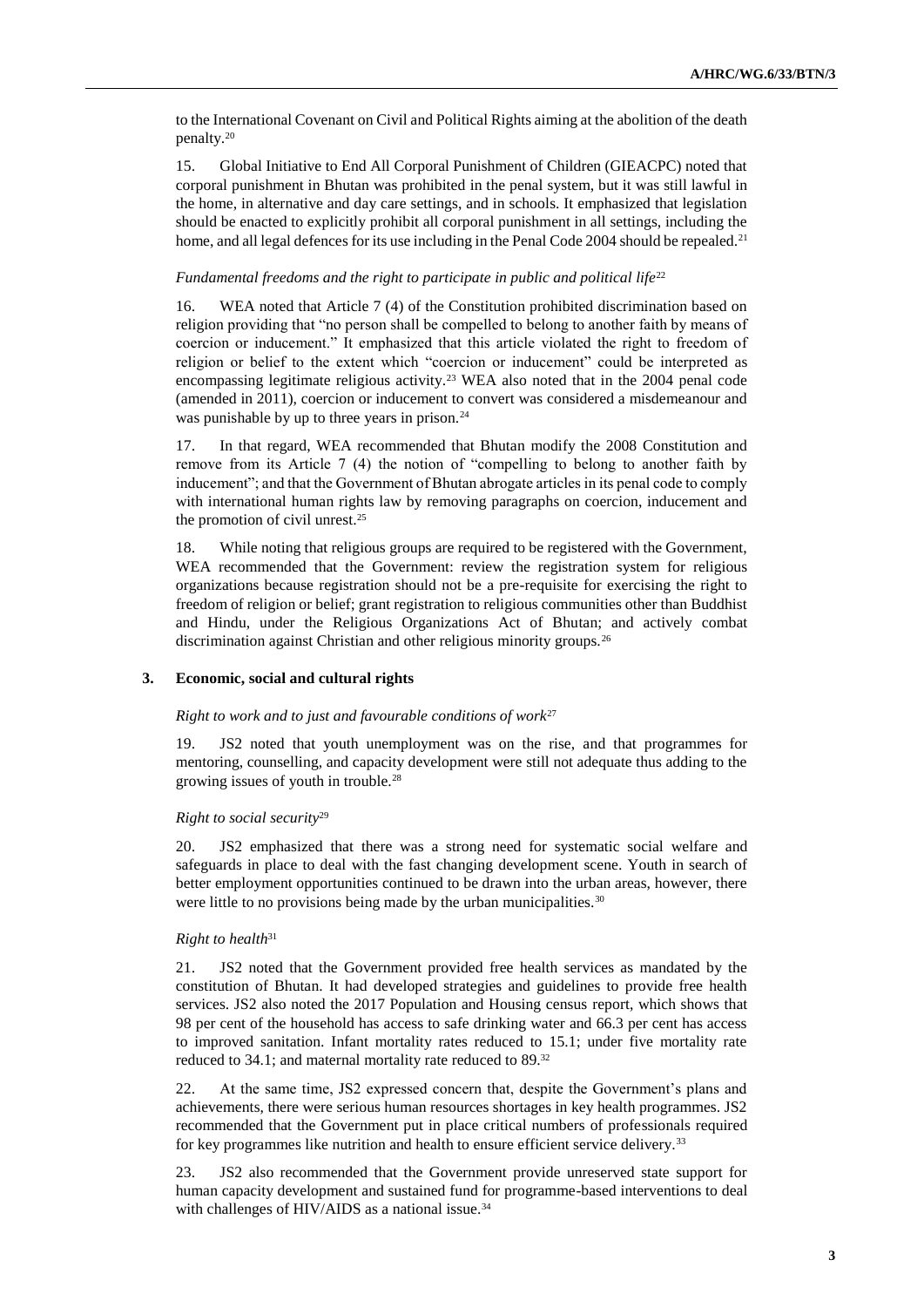to the International Covenant on Civil and Political Rights aiming at the abolition of the death penalty.<sup>20</sup>

15. Global Initiative to End All Corporal Punishment of Children (GIEACPC) noted that corporal punishment in Bhutan was prohibited in the penal system, but it was still lawful in the home, in alternative and day care settings, and in schools. It emphasized that legislation should be enacted to explicitly prohibit all corporal punishment in all settings, including the home, and all legal defences for its use including in the Penal Code 2004 should be repealed.<sup>21</sup>

#### *Fundamental freedoms and the right to participate in public and political life*<sup>22</sup>

16. WEA noted that Article 7 (4) of the Constitution prohibited discrimination based on religion providing that "no person shall be compelled to belong to another faith by means of coercion or inducement." It emphasized that this article violated the right to freedom of religion or belief to the extent which "coercion or inducement" could be interpreted as encompassing legitimate religious activity.<sup>23</sup> WEA also noted that in the 2004 penal code (amended in 2011), coercion or inducement to convert was considered a misdemeanour and was punishable by up to three years in prison.<sup>24</sup>

17. In that regard, WEA recommended that Bhutan modify the 2008 Constitution and remove from its Article 7 (4) the notion of "compelling to belong to another faith by inducement"; and that the Government of Bhutan abrogate articles in its penal code to comply with international human rights law by removing paragraphs on coercion, inducement and the promotion of civil unrest.<sup>25</sup>

18. While noting that religious groups are required to be registered with the Government, WEA recommended that the Government: review the registration system for religious organizations because registration should not be a pre-requisite for exercising the right to freedom of religion or belief; grant registration to religious communities other than Buddhist and Hindu, under the Religious Organizations Act of Bhutan; and actively combat discrimination against Christian and other religious minority groups.<sup>26</sup>

#### **3. Economic, social and cultural rights**

#### *Right to work and to just and favourable conditions of work*<sup>27</sup>

19. JS2 noted that youth unemployment was on the rise, and that programmes for mentoring, counselling, and capacity development were still not adequate thus adding to the growing issues of youth in trouble.<sup>28</sup>

#### *Right to social security*<sup>29</sup>

20. JS2 emphasized that there was a strong need for systematic social welfare and safeguards in place to deal with the fast changing development scene. Youth in search of better employment opportunities continued to be drawn into the urban areas, however, there were little to no provisions being made by the urban municipalities.<sup>30</sup>

#### *Right to health*<sup>31</sup>

21. JS2 noted that the Government provided free health services as mandated by the constitution of Bhutan. It had developed strategies and guidelines to provide free health services. JS2 also noted the 2017 Population and Housing census report, which shows that 98 per cent of the household has access to safe drinking water and 66.3 per cent has access to improved sanitation. Infant mortality rates reduced to 15.1; under five mortality rate reduced to 34.1; and maternal mortality rate reduced to 89.<sup>32</sup>

22. At the same time, JS2 expressed concern that, despite the Government's plans and achievements, there were serious human resources shortages in key health programmes. JS2 recommended that the Government put in place critical numbers of professionals required for key programmes like nutrition and health to ensure efficient service delivery.<sup>33</sup>

23. JS2 also recommended that the Government provide unreserved state support for human capacity development and sustained fund for programme-based interventions to deal with challenges of HIV/AIDS as a national issue. $34$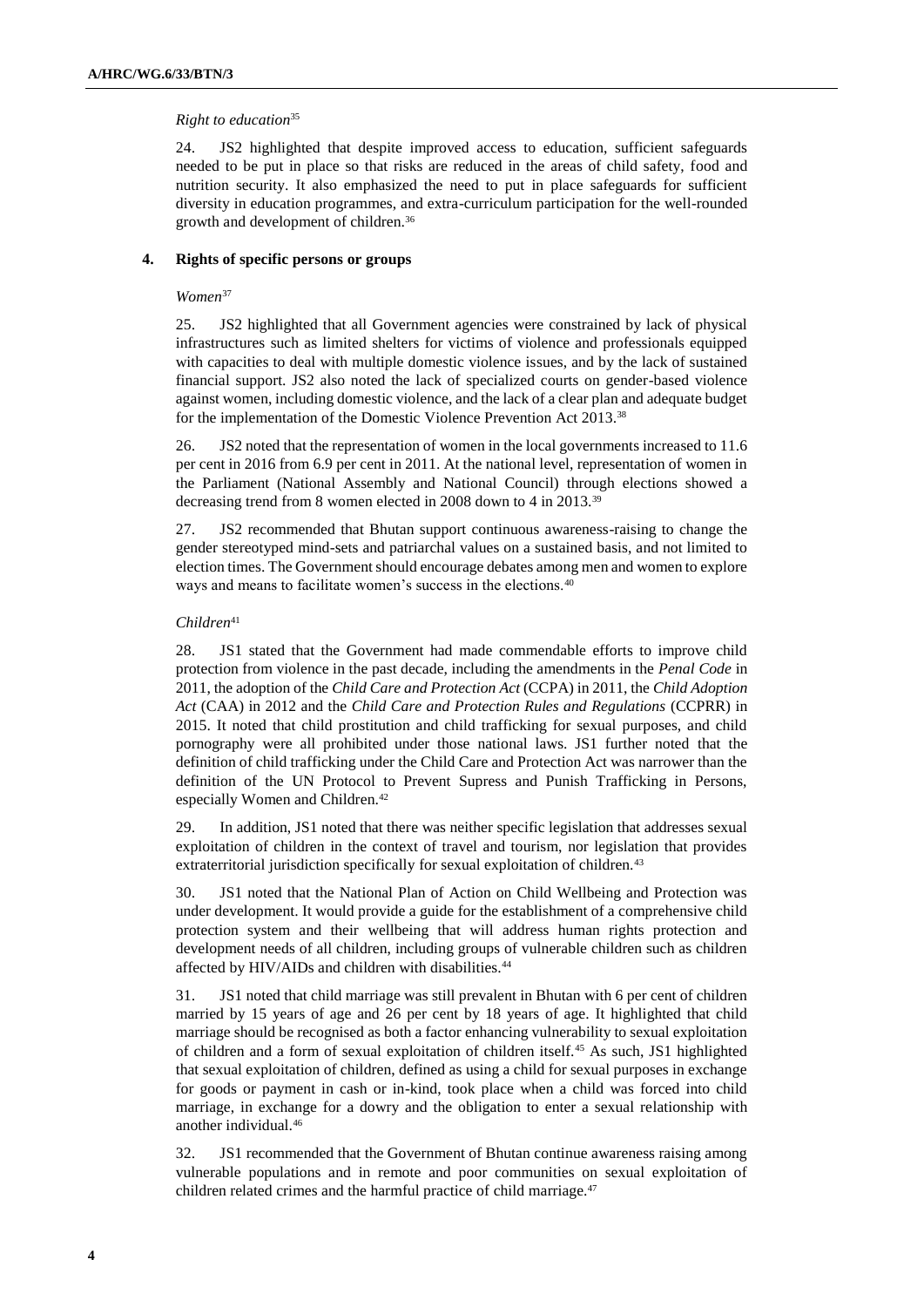#### *Right to education*<sup>35</sup>

24. JS2 highlighted that despite improved access to education, sufficient safeguards needed to be put in place so that risks are reduced in the areas of child safety, food and nutrition security. It also emphasized the need to put in place safeguards for sufficient diversity in education programmes, and extra-curriculum participation for the well-rounded growth and development of children.<sup>36</sup>

#### **4. Rights of specific persons or groups**

#### *Women*<sup>37</sup>

25. JS2 highlighted that all Government agencies were constrained by lack of physical infrastructures such as limited shelters for victims of violence and professionals equipped with capacities to deal with multiple domestic violence issues, and by the lack of sustained financial support. JS2 also noted the lack of specialized courts on gender-based violence against women, including domestic violence, and the lack of a clear plan and adequate budget for the implementation of the Domestic Violence Prevention Act 2013.<sup>38</sup>

26. JS2 noted that the representation of women in the local governments increased to 11.6 per cent in 2016 from 6.9 per cent in 2011. At the national level, representation of women in the Parliament (National Assembly and National Council) through elections showed a decreasing trend from 8 women elected in 2008 down to 4 in 2013.<sup>39</sup>

27. JS2 recommended that Bhutan support continuous awareness-raising to change the gender stereotyped mind-sets and patriarchal values on a sustained basis, and not limited to election times. The Government should encourage debates among men and women to explore ways and means to facilitate women's success in the elections.<sup>40</sup>

#### *Children*<sup>41</sup>

28. JS1 stated that the Government had made commendable efforts to improve child protection from violence in the past decade, including the amendments in the *Penal Code* in 2011, the adoption of the *Child Care and Protection Act* (CCPA) in 2011, the *Child Adoption Act* (CAA) in 2012 and the *Child Care and Protection Rules and Regulations* (CCPRR) in 2015. It noted that child prostitution and child trafficking for sexual purposes, and child pornography were all prohibited under those national laws. JS1 further noted that the definition of child trafficking under the Child Care and Protection Act was narrower than the definition of the UN Protocol to Prevent Supress and Punish Trafficking in Persons, especially Women and Children.<sup>42</sup>

29. In addition, JS1 noted that there was neither specific legislation that addresses sexual exploitation of children in the context of travel and tourism, nor legislation that provides extraterritorial jurisdiction specifically for sexual exploitation of children.<sup>43</sup>

30. JS1 noted that the National Plan of Action on Child Wellbeing and Protection was under development. It would provide a guide for the establishment of a comprehensive child protection system and their wellbeing that will address human rights protection and development needs of all children, including groups of vulnerable children such as children affected by HIV/AIDs and children with disabilities.<sup>44</sup>

31. JS1 noted that child marriage was still prevalent in Bhutan with 6 per cent of children married by 15 years of age and 26 per cent by 18 years of age. It highlighted that child marriage should be recognised as both a factor enhancing vulnerability to sexual exploitation of children and a form of sexual exploitation of children itself.<sup>45</sup> As such, JS1 highlighted that sexual exploitation of children, defined as using a child for sexual purposes in exchange for goods or payment in cash or in-kind, took place when a child was forced into child marriage, in exchange for a dowry and the obligation to enter a sexual relationship with another individual.<sup>46</sup>

32. JS1 recommended that the Government of Bhutan continue awareness raising among vulnerable populations and in remote and poor communities on sexual exploitation of children related crimes and the harmful practice of child marriage.<sup>47</sup>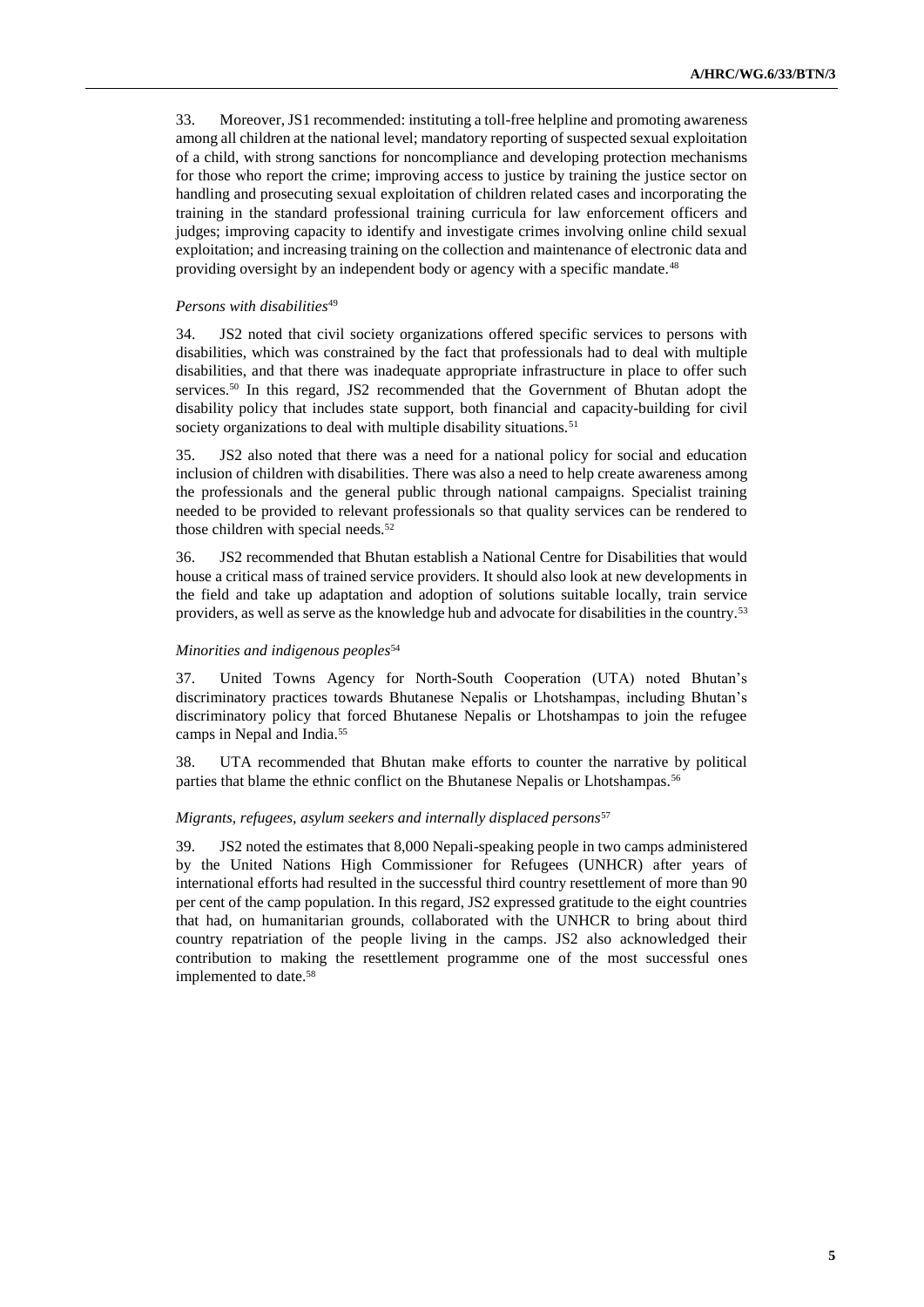33. Moreover, JS1 recommended: instituting a toll-free helpline and promoting awareness among all children at the national level; mandatory reporting of suspected sexual exploitation of a child, with strong sanctions for noncompliance and developing protection mechanisms for those who report the crime; improving access to justice by training the justice sector on handling and prosecuting sexual exploitation of children related cases and incorporating the training in the standard professional training curricula for law enforcement officers and judges; improving capacity to identify and investigate crimes involving online child sexual exploitation; and increasing training on the collection and maintenance of electronic data and providing oversight by an independent body or agency with a specific mandate.<sup>48</sup>

#### *Persons with disabilities*<sup>49</sup>

34. JS2 noted that civil society organizations offered specific services to persons with disabilities, which was constrained by the fact that professionals had to deal with multiple disabilities, and that there was inadequate appropriate infrastructure in place to offer such services.<sup>50</sup> In this regard, JS2 recommended that the Government of Bhutan adopt the disability policy that includes state support, both financial and capacity-building for civil society organizations to deal with multiple disability situations.<sup>51</sup>

35. JS2 also noted that there was a need for a national policy for social and education inclusion of children with disabilities. There was also a need to help create awareness among the professionals and the general public through national campaigns. Specialist training needed to be provided to relevant professionals so that quality services can be rendered to those children with special needs.<sup>52</sup>

36. JS2 recommended that Bhutan establish a National Centre for Disabilities that would house a critical mass of trained service providers. It should also look at new developments in the field and take up adaptation and adoption of solutions suitable locally, train service providers, as well as serve as the knowledge hub and advocate for disabilities in the country.<sup>53</sup>

#### *Minorities and indigenous peoples*<sup>54</sup>

37. United Towns Agency for North-South Cooperation (UTA) noted Bhutan's discriminatory practices towards Bhutanese Nepalis or Lhotshampas, including Bhutan's discriminatory policy that forced Bhutanese Nepalis or Lhotshampas to join the refugee camps in Nepal and India.<sup>55</sup>

38. UTA recommended that Bhutan make efforts to counter the narrative by political parties that blame the ethnic conflict on the Bhutanese Nepalis or Lhotshampas.<sup>56</sup>

#### *Migrants, refugees, asylum seekers and internally displaced persons*<sup>57</sup>

39. JS2 noted the estimates that 8,000 Nepali-speaking people in two camps administered by the United Nations High Commissioner for Refugees (UNHCR) after years of international efforts had resulted in the successful third country resettlement of more than 90 per cent of the camp population. In this regard, JS2 expressed gratitude to the eight countries that had, on humanitarian grounds, collaborated with the UNHCR to bring about third country repatriation of the people living in the camps. JS2 also acknowledged their contribution to making the resettlement programme one of the most successful ones implemented to date.58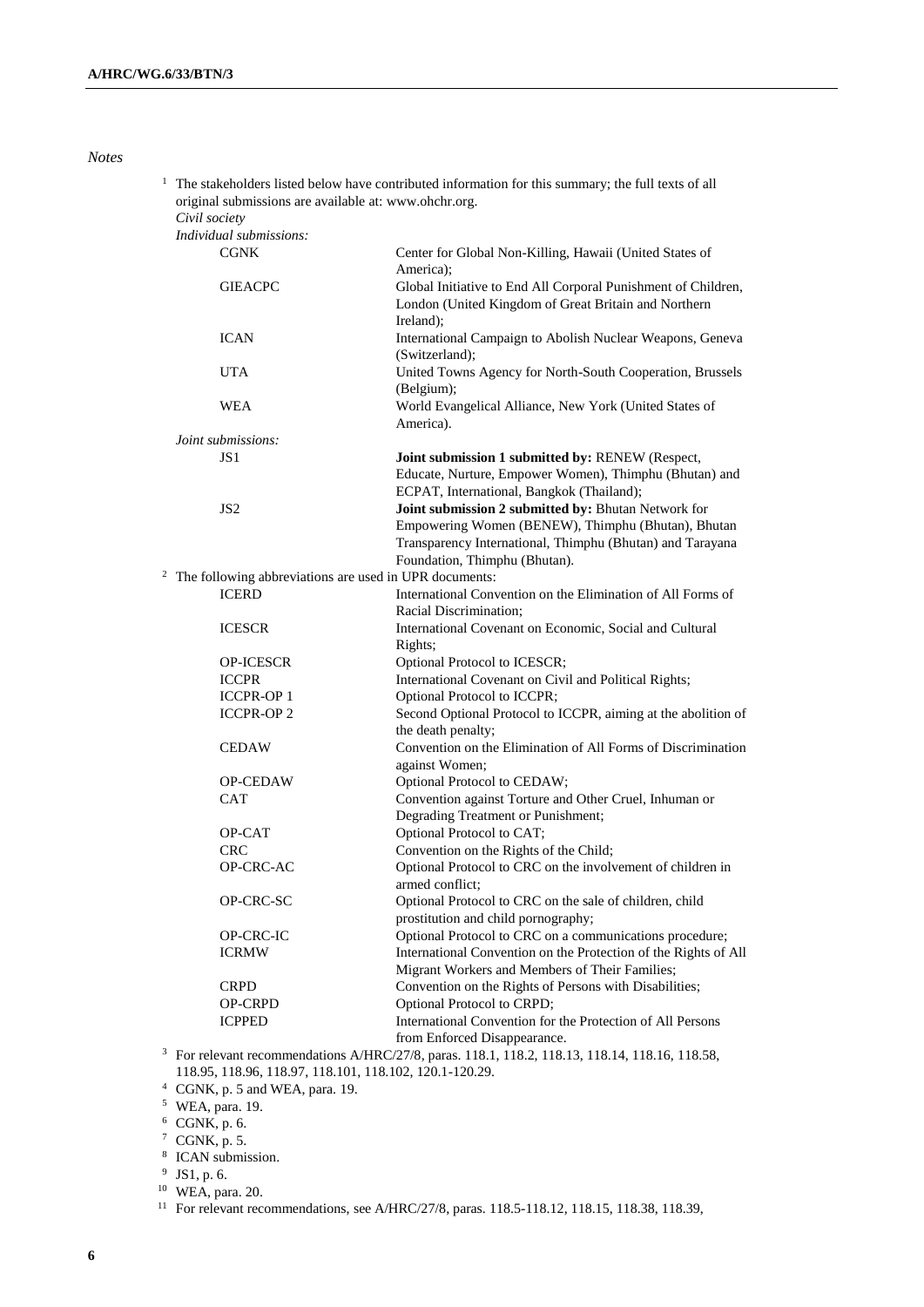*Notes*

| original submissions are available at: www.ohchr.org.<br>Civil society |                                                                                                                                                                                                         |
|------------------------------------------------------------------------|---------------------------------------------------------------------------------------------------------------------------------------------------------------------------------------------------------|
| Individual submissions:                                                |                                                                                                                                                                                                         |
| <b>CGNK</b>                                                            | Center for Global Non-Killing, Hawaii (United States of                                                                                                                                                 |
| <b>GIEACPC</b>                                                         | America);<br>Global Initiative to End All Corporal Punishment of Children,<br>London (United Kingdom of Great Britain and Northern<br>Ireland);                                                         |
| <b>ICAN</b>                                                            | International Campaign to Abolish Nuclear Weapons, Geneva<br>(Switzerland);                                                                                                                             |
| UTA                                                                    | United Towns Agency for North-South Cooperation, Brussels<br>(Belgium);                                                                                                                                 |
| WEA                                                                    | World Evangelical Alliance, New York (United States of<br>America).                                                                                                                                     |
| Joint submissions:                                                     |                                                                                                                                                                                                         |
| JS 1                                                                   | Joint submission 1 submitted by: RENEW (Respect,<br>Educate, Nurture, Empower Women), Thimphu (Bhutan) and<br>ECPAT, International, Bangkok (Thailand);                                                 |
| JS <sub>2</sub>                                                        | Joint submission 2 submitted by: Bhutan Network for<br>Empowering Women (BENEW), Thimphu (Bhutan), Bhutan<br>Transparency International, Thimphu (Bhutan) and Tarayana<br>Foundation, Thimphu (Bhutan). |
| The following abbreviations are used in UPR documents:                 |                                                                                                                                                                                                         |
| <b>ICERD</b>                                                           | International Convention on the Elimination of All Forms of<br>Racial Discrimination:                                                                                                                   |
| <b>ICESCR</b>                                                          | International Covenant on Economic, Social and Cultural<br>Rights;                                                                                                                                      |
| OP-ICESCR                                                              | Optional Protocol to ICESCR;                                                                                                                                                                            |
| <b>ICCPR</b>                                                           | International Covenant on Civil and Political Rights;                                                                                                                                                   |
| <b>ICCPR-OP1</b>                                                       | Optional Protocol to ICCPR;                                                                                                                                                                             |
| <b>ICCPR-OP2</b>                                                       | Second Optional Protocol to ICCPR, aiming at the abolition of<br>the death penalty;                                                                                                                     |
| <b>CEDAW</b>                                                           | Convention on the Elimination of All Forms of Discrimination<br>against Women;                                                                                                                          |
| <b>OP-CEDAW</b>                                                        | Optional Protocol to CEDAW;                                                                                                                                                                             |
| <b>CAT</b>                                                             | Convention against Torture and Other Cruel, Inhuman or<br>Degrading Treatment or Punishment;                                                                                                            |
| OP-CAT                                                                 | Optional Protocol to CAT;                                                                                                                                                                               |
| <b>CRC</b>                                                             | Convention on the Rights of the Child;                                                                                                                                                                  |
| OP-CRC-AC                                                              | Optional Protocol to CRC on the involvement of children in<br>armed conflict:                                                                                                                           |
| OP-CRC-SC                                                              | Optional Protocol to CRC on the sale of children, child<br>prostitution and child pornography;                                                                                                          |
| OP-CRC-IC                                                              | Optional Protocol to CRC on a communications procedure;                                                                                                                                                 |
| <b>ICRMW</b>                                                           | International Convention on the Protection of the Rights of All<br>Migrant Workers and Members of Their Families;                                                                                       |
| <b>CRPD</b>                                                            | Convention on the Rights of Persons with Disabilities;                                                                                                                                                  |
| OP-CRPD                                                                | Optional Protocol to CRPD;                                                                                                                                                                              |
| <b>ICPPED</b>                                                          | International Convention for the Protection of All Persons<br>from Enforced Disappearance.                                                                                                              |
|                                                                        | For relevant recommendations A/HRC/27/8, paras. 118.1, 118.2, 118.13, 118.14, 118.16, 118.58,                                                                                                           |
| 118.95, 118.96, 118.97, 118.101, 118.102, 120.1-120.29.                |                                                                                                                                                                                                         |

<sup>1</sup> The stakeholders listed below have contributed information for this summary; the full texts of all

<sup>4</sup> CGNK, p. 5 and WEA, para. 19.

<sup>5</sup> WEA, para. 19.

 $6$  CGNK, p. 6.

 $7$  CGNK, p. 5.

8 ICAN submission.

 $9$  JS1, p. 6.

<sup>10</sup> WEA, para. 20.

<sup>11</sup> For relevant recommendations, see A/HRC/27/8, paras. 118.5-118.12, 118.15, 118.38, 118.39,